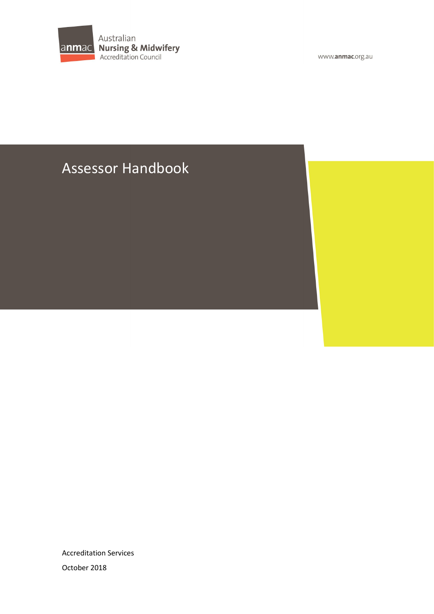

www.anmac.org.au

# Assessor Handbook

Accreditation Services October 2018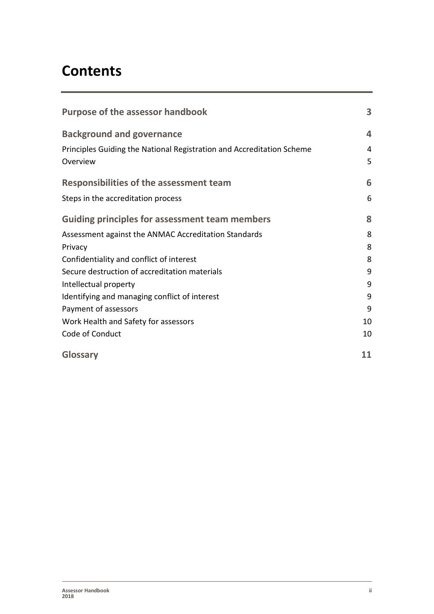# **Contents**

| <b>Purpose of the assessor handbook</b>                                           | 3                       |
|-----------------------------------------------------------------------------------|-------------------------|
| <b>Background and governance</b>                                                  | $\overline{\mathbf{4}}$ |
| Principles Guiding the National Registration and Accreditation Scheme<br>Overview | 4<br>5                  |
| <b>Responsibilities of the assessment team</b>                                    | 6                       |
| Steps in the accreditation process                                                | 6                       |
| <b>Guiding principles for assessment team members</b>                             | 8                       |
| Assessment against the ANMAC Accreditation Standards                              | 8                       |
| Privacy                                                                           | 8                       |
| Confidentiality and conflict of interest                                          | 8                       |
| Secure destruction of accreditation materials                                     | 9                       |
| Intellectual property                                                             | 9                       |
| Identifying and managing conflict of interest                                     | 9                       |
| Payment of assessors                                                              | 9                       |
| Work Health and Safety for assessors                                              | 10                      |
| Code of Conduct                                                                   | 10                      |
| Glossary                                                                          | 11                      |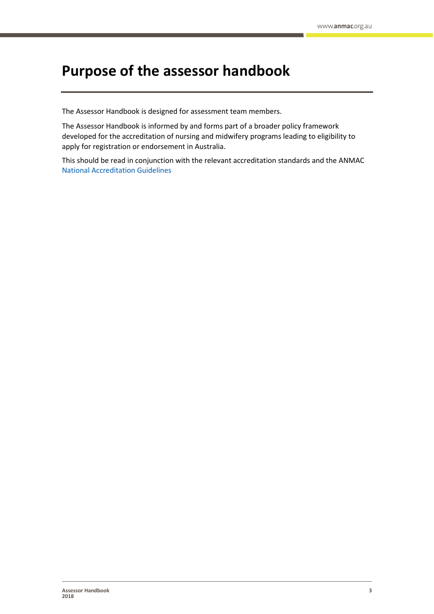# <span id="page-2-0"></span>**Purpose of the assessor handbook**

The Assessor Handbook is designed for assessment team members.

The Assessor Handbook is informed by and forms part of a broader policy framework developed for the accreditation of nursing and midwifery programs leading to eligibility to apply for registration or endorsement in Australia.

This should be read in conjunction with the relevant accreditation standards and the ANMAC [National Accreditation](https://www.anmac.org.au/sites/default/files/documents/National_Accreditation_Guidelines_1_0.pdf) Guidelines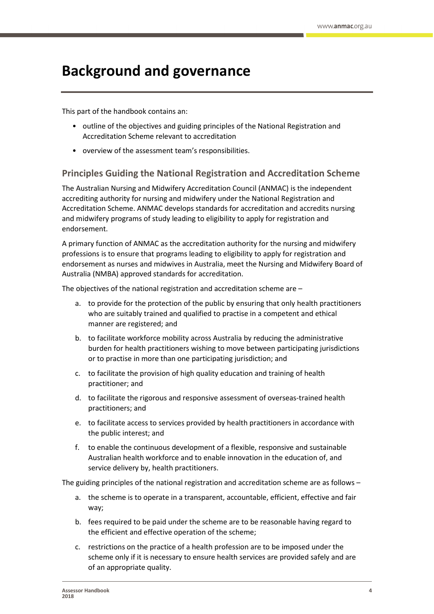# <span id="page-3-0"></span>**Background and governance**

This part of the handbook contains an:

- outline of the objectives and guiding principles of the National Registration and Accreditation Scheme relevant to accreditation
- overview of the assessment team's responsibilities.

### <span id="page-3-1"></span>**Principles Guiding the National Registration and Accreditation Scheme**

The Australian Nursing and Midwifery Accreditation Council (ANMAC) is the independent accrediting authority for nursing and midwifery under the National Registration and Accreditation Scheme. ANMAC develops standards for accreditation and accredits nursing and midwifery programs of study leading to eligibility to apply for registration and endorsement.

A primary function of ANMAC as the accreditation authority for the nursing and midwifery professions is to ensure that programs leading to eligibility to apply for registration and endorsement as nurses and midwives in Australia, meet the Nursing and Midwifery Board of Australia (NMBA) approved standards for accreditation.

The objectives of the national registration and accreditation scheme are –

- a. to provide for the protection of the public by ensuring that only health practitioners who are suitably trained and qualified to practise in a competent and ethical manner are registered; and
- b. to facilitate workforce mobility across Australia by reducing the administrative burden for health practitioners wishing to move between participating jurisdictions or to practise in more than one participating jurisdiction; and
- c. to facilitate the provision of high quality education and training of health practitioner; and
- d. to facilitate the rigorous and responsive assessment of overseas-trained health practitioners; and
- e. to facilitate access to services provided by health practitioners in accordance with the public interest; and
- f. to enable the continuous development of a flexible, responsive and sustainable Australian health workforce and to enable innovation in the education of, and service delivery by, health practitioners.

The guiding principles of the national registration and accreditation scheme are as follows –

- a. the scheme is to operate in a transparent, accountable, efficient, effective and fair way;
- b. fees required to be paid under the scheme are to be reasonable having regard to the efficient and effective operation of the scheme;
- c. restrictions on the practice of a health profession are to be imposed under the scheme only if it is necessary to ensure health services are provided safely and are of an appropriate quality.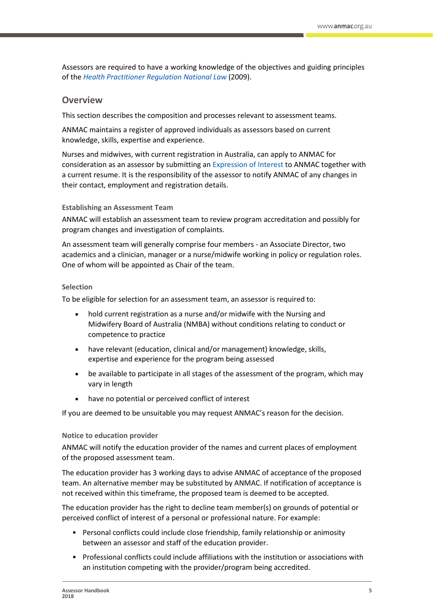Assessors are required to have a working knowledge of the objectives and guiding principles of the *[Health Practitioner Regulation National Law](https://www.ahpra.gov.au/About-AHPRA/What-We-Do/Legislation.aspx)* (2009).

#### <span id="page-4-0"></span>**Overview**

This section describes the composition and processes relevant to assessment teams.

ANMAC maintains a register of approved individuals as assessors based on current knowledge, skills, expertise and experience.

Nurses and midwives, with current registration in Australia, can apply to ANMAC for consideration as an assessor by submitting a[n Expression of Interest](https://www.anmac.org.au/expression-interest) to ANMAC together with a current resume. It is the responsibility of the assessor to notify ANMAC of any changes in their contact, employment and registration details.

#### **Establishing an Assessment Team**

ANMAC will establish an assessment team to review program accreditation and possibly for program changes and investigation of complaints.

An assessment team will generally comprise four members - an Associate Director, two academics and a clinician, manager or a nurse/midwife working in policy or regulation roles. One of whom will be appointed as Chair of the team.

#### **Selection**

To be eligible for selection for an assessment team, an assessor is required to:

- hold current registration as a nurse and/or midwife with the Nursing and Midwifery Board of Australia (NMBA) without conditions relating to conduct or competence to practice
- have relevant (education, clinical and/or management) knowledge, skills, expertise and experience for the program being assessed
- be available to participate in all stages of the assessment of the program, which may vary in length
- have no potential or perceived conflict of interest

If you are deemed to be unsuitable you may request ANMAC's reason for the decision.

#### **Notice to education provider**

ANMAC will notify the education provider of the names and current places of employment of the proposed assessment team.

The education provider has 3 working days to advise ANMAC of acceptance of the proposed team. An alternative member may be substituted by ANMAC. If notification of acceptance is not received within this timeframe, the proposed team is deemed to be accepted.

The education provider has the right to decline team member(s) on grounds of potential or perceived conflict of interest of a personal or professional nature. For example:

- Personal conflicts could include close friendship, family relationship or animosity between an assessor and staff of the education provider.
- Professional conflicts could include affiliations with the institution or associations with an institution competing with the provider/program being accredited.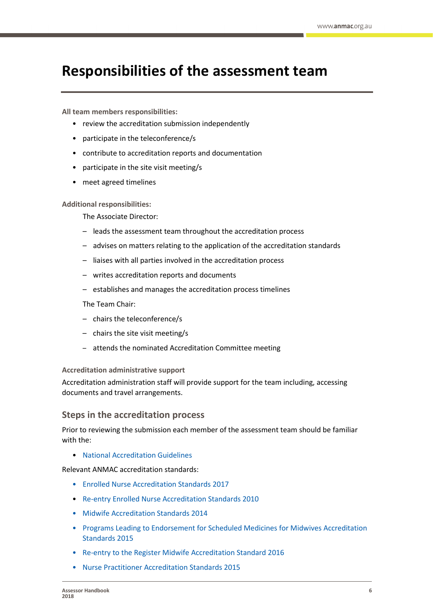# <span id="page-5-0"></span>**Responsibilities of the assessment team**

**All team members responsibilities:**

- review the accreditation submission independently
- participate in the teleconference/s
- contribute to accreditation reports and documentation
- participate in the site visit meeting/s
- meet agreed timelines

**Additional responsibilities:**

The Associate Director:

- leads the assessment team throughout the accreditation process
- advises on matters relating to the application of the accreditation standards
- liaises with all parties involved in the accreditation process
- writes accreditation reports and documents
- establishes and manages the accreditation process timelines

The Team Chair:

- chairs the teleconference/s
- chairs the site visit meeting/s
- attends the nominated Accreditation Committee meeting

#### **Accreditation administrative support**

Accreditation administration staff will provide support for the team including, accessing documents and travel arrangements.

### <span id="page-5-1"></span>**Steps in the accreditation process**

Prior to reviewing the submission each member of the assessment team should be familiar with the:

• [National Accreditation](https://www.anmac.org.au/sites/default/files/documents/National_Accreditation_Guidelines_1_0.pdf) Guidelines

Relevant ANMAC accreditation standards:

- [Enrolled Nurse Accreditation Standards 2017](https://www.anmac.org.au/sites/default/files/documents/ANMAC_EN_Standards_web.pdf)
- [Re-entry Enrolled Nurse Accreditation Standards 2010](https://www.anmac.org.au/sites/default/files/documents/2010_ANMC_ReEntry_EN_August_2014.pdf)
- [Midwife Accreditation Standards 2014](https://www.anmac.org.au/sites/default/files/documents/ANMAC_Midwife_Accreditation_Standards_2014.pdf)
- [Programs Leading to Endorsement for Scheduled Medicines for](https://www.anmac.org.au/sites/default/files/documents/Accreditation_Standards_for_Programs_Leading_to_Endorsement_for_Scheduled_Medicines_for_Midwives_2015.pdf) Midwives Accreditation [Standards 2015](https://www.anmac.org.au/sites/default/files/documents/Accreditation_Standards_for_Programs_Leading_to_Endorsement_for_Scheduled_Medicines_for_Midwives_2015.pdf)
- [Re-entry to the Register Midwife Accreditation Standard 2016](https://www.anmac.org.au/sites/default/files/documents/Re_entry_to_the_Register_Midwife_Accreditation_Standards_2016.pdf)
- [Nurse Practitioner Accreditation Standards 2015](https://www.anmac.org.au/sites/default/files/documents/Nurse_Practitioner_Accreditation_Standard_2015.pdf)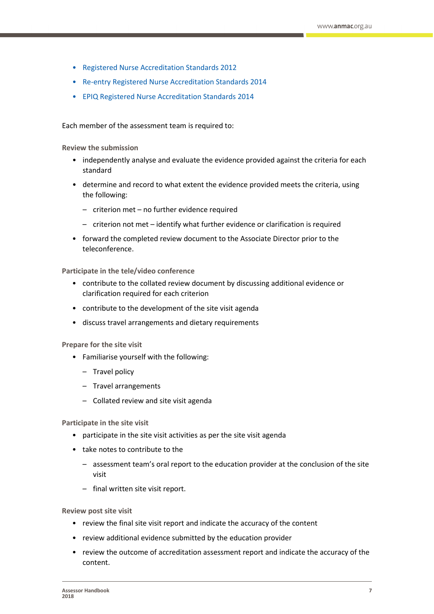- [Registered Nurse Accreditation Standards 2012](https://www.anmac.org.au/sites/default/files/documents/ANMAC_RN_Accreditation_Standards_2012.pdf)
- [Re-entry Registered Nurse Accreditation Standards 2014](https://www.anmac.org.au/sites/default/files/documents/20150209_Re-entry_Registered_Nurse_Accreditation_Standards_2014.pdf)
- [EPIQ Registered Nurse Accreditation Standards 2014](https://www.anmac.org.au/sites/default/files/documents/20150209_Entry_Programs_for_the_Internationally_Qualified_Registered_Nurse.pdf)

Each member of the assessment team is required to:

**Review the submission**

- independently analyse and evaluate the evidence provided against the criteria for each standard
- determine and record to what extent the evidence provided meets the criteria, using the following:
	- criterion met no further evidence required
	- criterion not met identify what further evidence or clarification is required
- forward the completed review document to the Associate Director prior to the teleconference.

**Participate in the tele/video conference**

- contribute to the collated review document by discussing additional evidence or clarification required for each criterion
- contribute to the development of the site visit agenda
- discuss travel arrangements and dietary requirements

**Prepare for the site visit**

- Familiarise yourself with the following:
	- Travel policy
	- Travel arrangements
	- Collated review and site visit agenda

**Participate in the site visit**

- participate in the site visit activities as per the site visit agenda
- take notes to contribute to the
	- assessment team's oral report to the education provider at the conclusion of the site visit
	- final written site visit report.

**Review post site visit**

- review the final site visit report and indicate the accuracy of the content
- review additional evidence submitted by the education provider
- review the outcome of accreditation assessment report and indicate the accuracy of the content.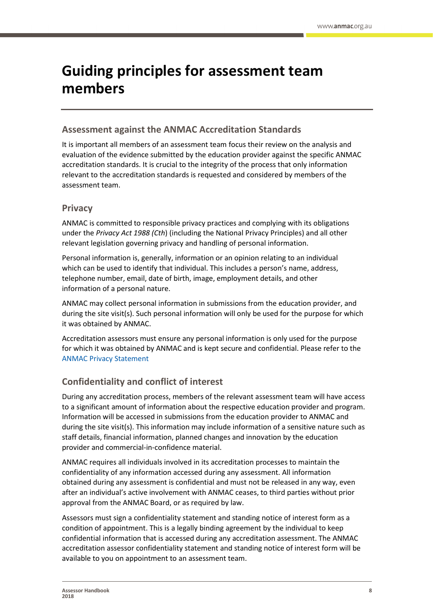# <span id="page-7-0"></span>**Guiding principles for assessment team members**

### <span id="page-7-1"></span>**Assessment against the ANMAC Accreditation Standards**

It is important all members of an assessment team focus their review on the analysis and evaluation of the evidence submitted by the education provider against the specific ANMAC accreditation standards. It is crucial to the integrity of the process that only information relevant to the accreditation standards is requested and considered by members of the assessment team.

### <span id="page-7-2"></span>**Privacy**

ANMAC is committed to responsible privacy practices and complying with its obligations under the *Privacy Act 1988 (Cth*) (including the National Privacy Principles) and all other relevant legislation governing privacy and handling of personal information.

Personal information is, generally, information or an opinion relating to an individual which can be used to identify that individual. This includes a person's name, address, telephone number, email, date of birth, image, employment details, and other information of a personal nature.

ANMAC may collect personal information in submissions from the education provider, and during the site visit(s). Such personal information will only be used for the purpose for which it was obtained by ANMAC.

Accreditation assessors must ensure any personal information is only used for the purpose for which it was obtained by ANMAC and is kept secure and confidential. Please refer to the [ANMAC Privacy Statement](https://www.anmac.org.au/sites/default/files/documents/ANMAC_Privacy_Statement_February%202013.pdf)

## <span id="page-7-3"></span>**Confidentiality and conflict of interest**

During any accreditation process, members of the relevant assessment team will have access to a significant amount of information about the respective education provider and program. Information will be accessed in submissions from the education provider to ANMAC and during the site visit(s). This information may include information of a sensitive nature such as staff details, financial information, planned changes and innovation by the education provider and commercial-in-confidence material.

ANMAC requires all individuals involved in its accreditation processes to maintain the confidentiality of any information accessed during any assessment. All information obtained during any assessment is confidential and must not be released in any way, even after an individual's active involvement with ANMAC ceases, to third parties without prior approval from the ANMAC Board, or as required by law.

Assessors must sign a confidentiality statement and standing notice of interest form as a condition of appointment. This is a legally binding agreement by the individual to keep confidential information that is accessed during any accreditation assessment. The ANMAC accreditation assessor confidentiality statement and standing notice of interest form will be available to you on appointment to an assessment team.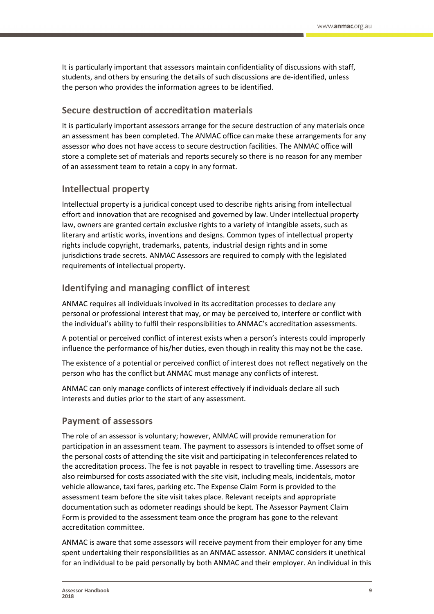It is particularly important that assessors maintain confidentiality of discussions with staff, students, and others by ensuring the details of such discussions are de-identified, unless the person who provides the information agrees to be identified.

### <span id="page-8-0"></span>**Secure destruction of accreditation materials**

It is particularly important assessors arrange for the secure destruction of any materials once an assessment has been completed. The ANMAC office can make these arrangements for any assessor who does not have access to secure destruction facilities. The ANMAC office will store a complete set of materials and reports securely so there is no reason for any member of an assessment team to retain a copy in any format.

### <span id="page-8-1"></span>**Intellectual property**

Intellectual property is a juridical concept used to describe rights arising from intellectual effort and innovation that are recognised and governed by law. Under intellectual property law, owners are granted certain exclusive rights to a variety of intangible assets, such as literary and artistic works, inventions and designs. Common types of intellectual property rights include copyright, trademarks, patents, industrial design rights and in some jurisdictions trade secrets. ANMAC Assessors are required to comply with the legislated requirements of intellectual property.

### <span id="page-8-2"></span>**Identifying and managing conflict of interest**

ANMAC requires all individuals involved in its accreditation processes to declare any personal or professional interest that may, or may be perceived to, interfere or conflict with the individual's ability to fulfil their responsibilities to ANMAC's accreditation assessments.

A potential or perceived conflict of interest exists when a person's interests could improperly influence the performance of his/her duties, even though in reality this may not be the case.

The existence of a potential or perceived conflict of interest does not reflect negatively on the person who has the conflict but ANMAC must manage any conflicts of interest.

ANMAC can only manage conflicts of interest effectively if individuals declare all such interests and duties prior to the start of any assessment.

### <span id="page-8-3"></span>**Payment of assessors**

The role of an assessor is voluntary; however, ANMAC will provide remuneration for participation in an assessment team. The payment to assessors is intended to offset some of the personal costs of attending the site visit and participating in teleconferences related to the accreditation process. The fee is not payable in respect to travelling time. Assessors are also reimbursed for costs associated with the site visit, including meals, incidentals, motor vehicle allowance, taxi fares, parking etc. The Expense Claim Form is provided to the assessment team before the site visit takes place. Relevant receipts and appropriate documentation such as odometer readings should be kept. The Assessor Payment Claim Form is provided to the assessment team once the program has gone to the relevant accreditation committee.

ANMAC is aware that some assessors will receive payment from their employer for any time spent undertaking their responsibilities as an ANMAC assessor. ANMAC considers it unethical for an individual to be paid personally by both ANMAC and their employer. An individual in this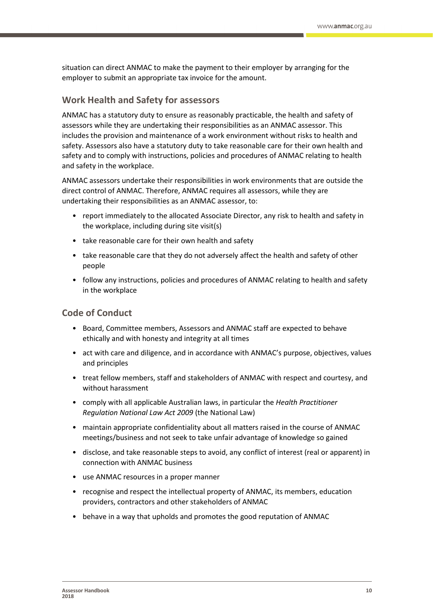situation can direct ANMAC to make the payment to their employer by arranging for the employer to submit an appropriate tax invoice for the amount.

### <span id="page-9-0"></span>**Work Health and Safety for assessors**

ANMAC has a statutory duty to ensure as reasonably practicable, the health and safety of assessors while they are undertaking their responsibilities as an ANMAC assessor. This includes the provision and maintenance of a work environment without risks to health and safety. Assessors also have a statutory duty to take reasonable care for their own health and safety and to comply with instructions, policies and procedures of ANMAC relating to health and safety in the workplace.

ANMAC assessors undertake their responsibilities in work environments that are outside the direct control of ANMAC. Therefore, ANMAC requires all assessors, while they are undertaking their responsibilities as an ANMAC assessor, to:

- report immediately to the allocated Associate Director, any risk to health and safety in the workplace, including during site visit(s)
- take reasonable care for their own health and safety
- take reasonable care that they do not adversely affect the health and safety of other people
- follow any instructions, policies and procedures of ANMAC relating to health and safety in the workplace

### <span id="page-9-1"></span>**Code of Conduct**

- Board, Committee members, Assessors and ANMAC staff are expected to behave ethically and with honesty and integrity at all times
- act with care and diligence, and in accordance with ANMAC's purpose, objectives, values and principles
- treat fellow members, staff and stakeholders of ANMAC with respect and courtesy, and without harassment
- comply with all applicable Australian laws, in particular the *Health Practitioner Regulation National Law Act 2009* (the National Law)
- maintain appropriate confidentiality about all matters raised in the course of ANMAC meetings/business and not seek to take unfair advantage of knowledge so gained
- disclose, and take reasonable steps to avoid, any conflict of interest (real or apparent) in connection with ANMAC business
- use ANMAC resources in a proper manner
- recognise and respect the intellectual property of ANMAC, its members, education providers, contractors and other stakeholders of ANMAC
- behave in a way that upholds and promotes the good reputation of ANMAC